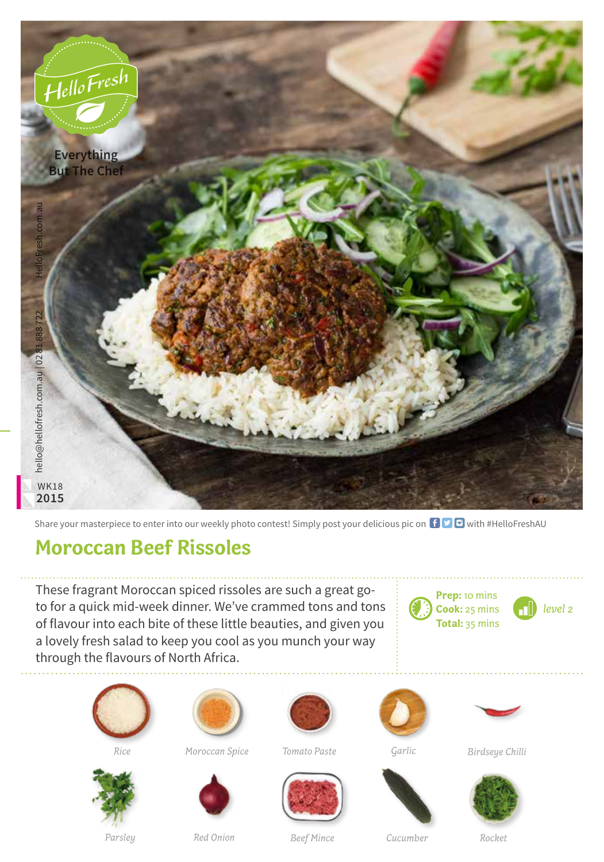

Share your masterpiece to enter into our weekly photo contest! Simply post your delicious pic on  $\bigoplus$   $\bigoplus$  with #HelloFreshAU

## **Moroccan Beef Rissoles**

These fragrant Moroccan spiced rissoles are such a great goto for a quick mid-week dinner. We've crammed tons and tons of flavour into each bite of these little beauties, and given you a lovely fresh salad to keep you cool as you munch your way through the flavours of North Africa.



**Cook:** 25 mins







*Rice Moroccan Spice Tomato Paste Garlic*







*Birdseye Chilli*



*Parsley Red Onion*

*Beef Mince Cucumber Rocket*